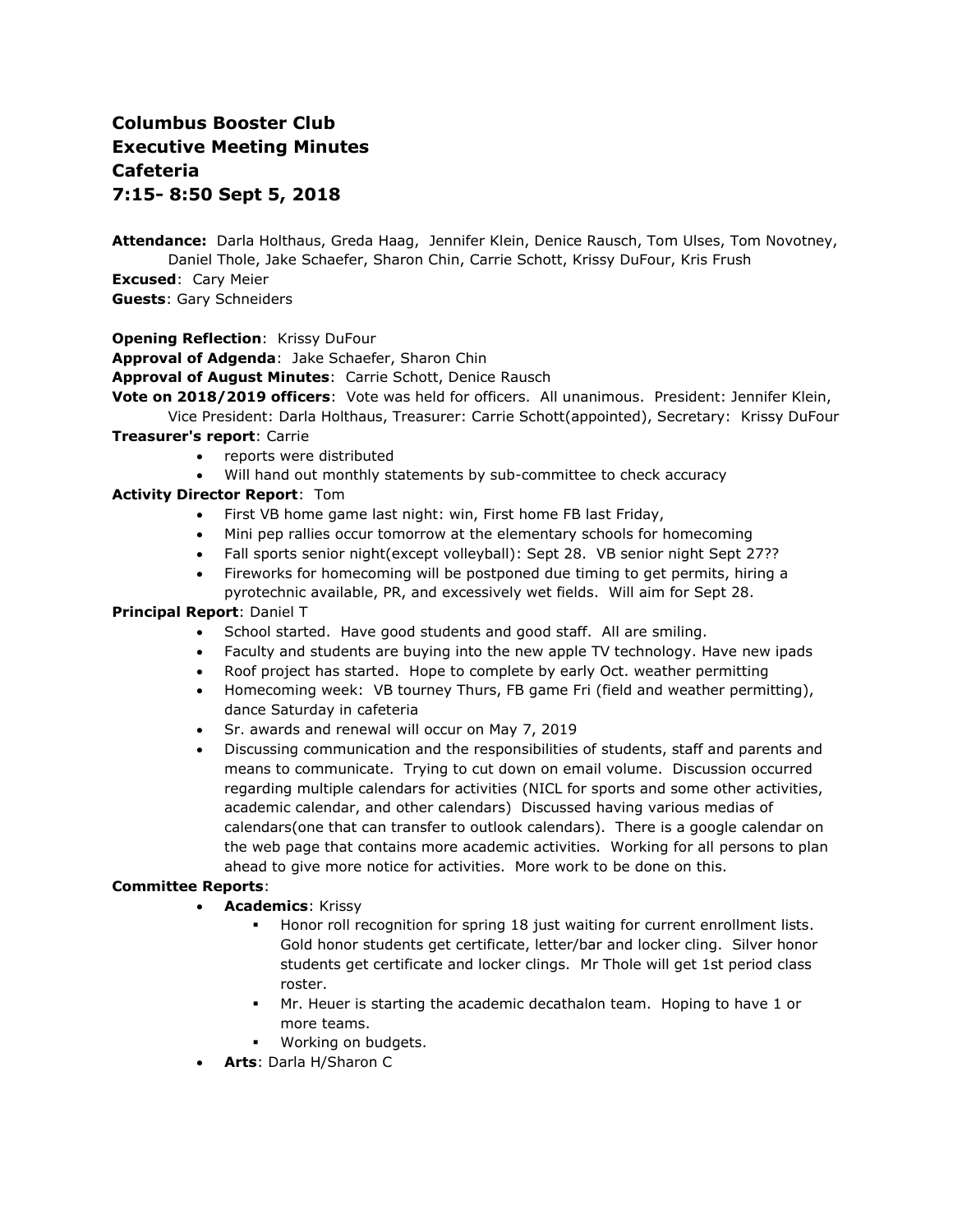# **Columbus Booster Club Executive Meeting Minutes Cafeteria 7:15- 8:50 Sept 5, 2018**

**Attendance:** Darla Holthaus, Greda Haag, Jennifer Klein, Denice Rausch, Tom Ulses, Tom Novotney, Daniel Thole, Jake Schaefer, Sharon Chin, Carrie Schott, Krissy DuFour, Kris Frush

**Excused**: Cary Meier

**Guests**: Gary Schneiders

#### **Opening Reflection**: Krissy DuFour

**Approval of Adgenda**: Jake Schaefer, Sharon Chin

**Approval of August Minutes**: Carrie Schott, Denice Rausch

**Vote on 2018/2019 officers**: Vote was held for officers. All unanimous. President: Jennifer Klein,

Vice President: Darla Holthaus, Treasurer: Carrie Schott(appointed), Secretary: Krissy DuFour

#### **Treasurer's report**: Carrie

- reports were distributed
- Will hand out monthly statements by sub-committee to check accuracy

## **Activity Director Report**: Tom

- First VB home game last night: win, First home FB last Friday,
- Mini pep rallies occur tomorrow at the elementary schools for homecoming
- Fall sports senior night(except volleyball): Sept 28. VB senior night Sept 27??
- Fireworks for homecoming will be postponed due timing to get permits, hiring a pyrotechnic available, PR, and excessively wet fields. Will aim for Sept 28.

#### **Principal Report**: Daniel T

- School started. Have good students and good staff. All are smiling.
- Faculty and students are buying into the new apple TV technology. Have new ipads
- Roof project has started. Hope to complete by early Oct. weather permitting
- Homecoming week: VB tourney Thurs, FB game Fri (field and weather permitting), dance Saturday in cafeteria
- Sr. awards and renewal will occur on May 7, 2019
- Discussing communication and the responsibilities of students, staff and parents and means to communicate. Trying to cut down on email volume. Discussion occurred regarding multiple calendars for activities (NICL for sports and some other activities, academic calendar, and other calendars) Discussed having various medias of calendars(one that can transfer to outlook calendars). There is a google calendar on the web page that contains more academic activities. Working for all persons to plan ahead to give more notice for activities. More work to be done on this.

## **Committee Reports**:

- **Academics**: Krissy
	- Honor roll recognition for spring 18 just waiting for current enrollment lists. Gold honor students get certificate, letter/bar and locker cling. Silver honor students get certificate and locker clings. Mr Thole will get 1st period class roster.
	- Mr. Heuer is starting the academic decathalon team. Hoping to have 1 or more teams.
	- Working on budgets.
- **Arts**: Darla H/Sharon C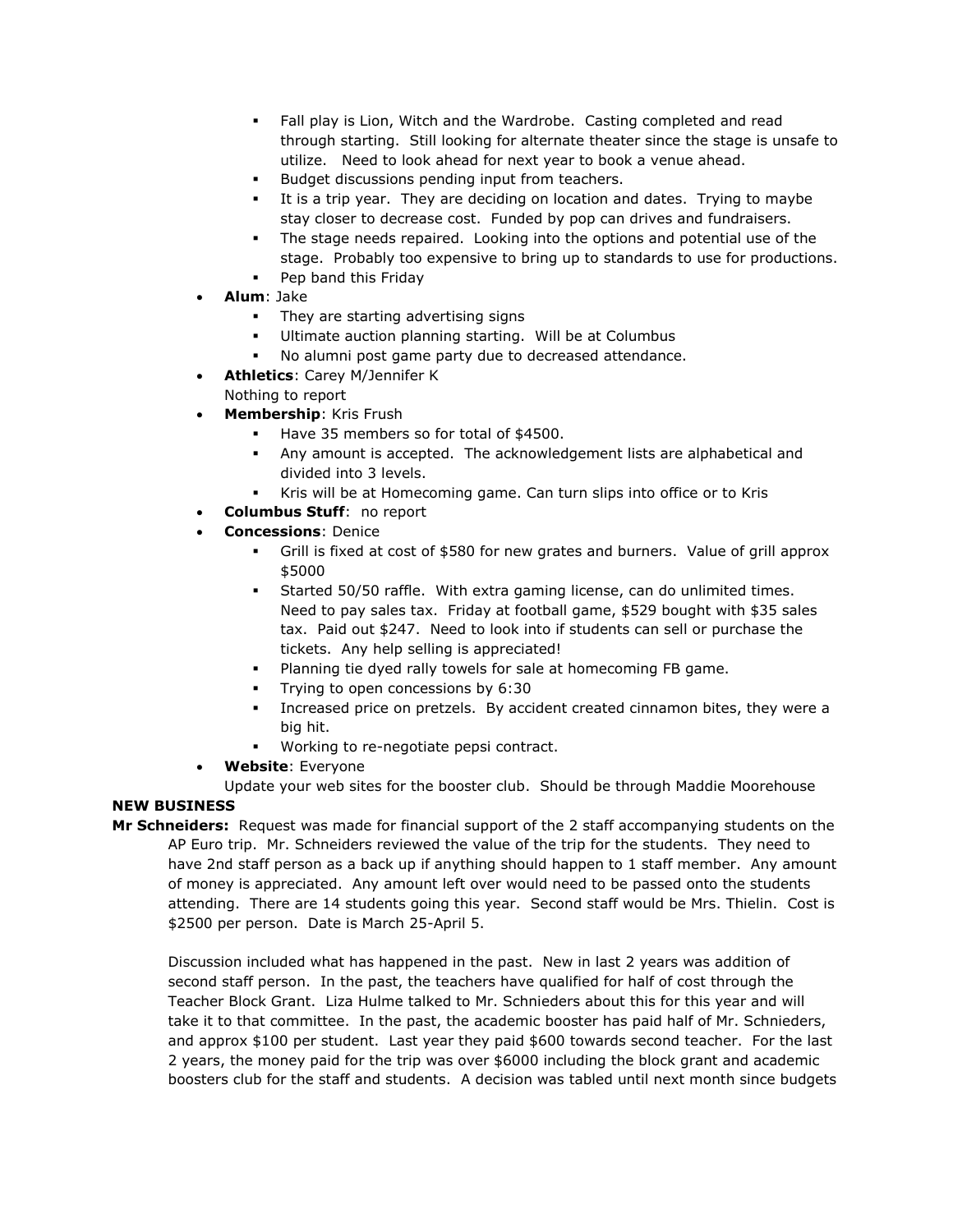- Fall play is Lion, Witch and the Wardrobe. Casting completed and read through starting. Still looking for alternate theater since the stage is unsafe to utilize. Need to look ahead for next year to book a venue ahead.
- Budget discussions pending input from teachers.
- It is a trip year. They are deciding on location and dates. Trying to maybe stay closer to decrease cost. Funded by pop can drives and fundraisers.
- The stage needs repaired. Looking into the options and potential use of the stage. Probably too expensive to bring up to standards to use for productions.
- Pep band this Friday
- **Alum**: Jake
	- They are starting advertising signs
	- Ultimate auction planning starting. Will be at Columbus
	- No alumni post game party due to decreased attendance.
- **Athletics**: Carey M/Jennifer K Nothing to report
- **Membership**: Kris Frush
	- Have 35 members so for total of \$4500.
	- Any amount is accepted. The acknowledgement lists are alphabetical and divided into 3 levels.
	- Kris will be at Homecoming game. Can turn slips into office or to Kris
	- **Columbus Stuff**: no report
- **Concessions**: Denice
	- Grill is fixed at cost of \$580 for new grates and burners. Value of grill approx \$5000
	- Started 50/50 raffle. With extra gaming license, can do unlimited times. Need to pay sales tax. Friday at football game, \$529 bought with \$35 sales tax. Paid out \$247. Need to look into if students can sell or purchase the tickets. Any help selling is appreciated!
	- Planning tie dyed rally towels for sale at homecoming FB game.
	- **Trying to open concessions by 6:30**
	- Increased price on pretzels. By accident created cinnamon bites, they were a big hit.
	- Working to re-negotiate pepsi contract.
- **Website**: Everyone

Update your web sites for the booster club. Should be through Maddie Moorehouse

# **NEW BUSINESS**

**Mr Schneiders:** Request was made for financial support of the 2 staff accompanying students on the AP Euro trip. Mr. Schneiders reviewed the value of the trip for the students. They need to have 2nd staff person as a back up if anything should happen to 1 staff member. Any amount of money is appreciated. Any amount left over would need to be passed onto the students attending. There are 14 students going this year. Second staff would be Mrs. Thielin. Cost is \$2500 per person. Date is March 25-April 5.

Discussion included what has happened in the past. New in last 2 years was addition of second staff person. In the past, the teachers have qualified for half of cost through the Teacher Block Grant. Liza Hulme talked to Mr. Schnieders about this for this year and will take it to that committee. In the past, the academic booster has paid half of Mr. Schnieders, and approx \$100 per student. Last year they paid \$600 towards second teacher. For the last 2 years, the money paid for the trip was over \$6000 including the block grant and academic boosters club for the staff and students. A decision was tabled until next month since budgets